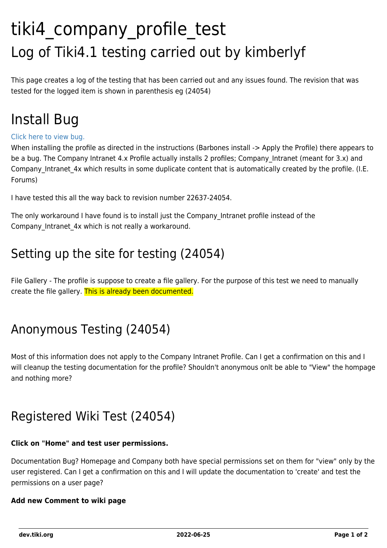# tiki4 company profile test Log of Tiki4.1 testing carried out by kimberlyf

This page creates a log of the testing that has been carried out and any issues found. The revision that was tested for the logged item is shown in parenthesis eg (24054)

## Install Bug

#### [Click here to view bug.](http://dev.tiki.org/tiki-view_tracker_item.php?itemId=2947)

When installing the profile as directed in the instructions (Barbones install -> Apply the Profile) there appears to be a bug. The Company Intranet 4.x Profile actually installs 2 profiles; Company Intranet (meant for 3.x) and Company Intranet 4x which results in some duplicate content that is automatically created by the profile. (I.E. Forums)

I have tested this all the way back to revision number 22637-24054.

The only workaround I have found is to install just the Company\_Intranet profile instead of the Company Intranet 4x which is not really a workaround.

### Setting up the site for testing (24054)

File Gallery - The profile is suppose to create a file gallery. For the purpose of this test we need to manually create the file gallery. This is already been documented.

### Anonymous Testing (24054)

Most of this information does not apply to the Company Intranet Profile. Can I get a confirmation on this and I will cleanup the testing documentation for the profile? Shouldn't anonymous onlt be able to "View" the hompage and nothing more?

### Registered Wiki Test (24054)

#### **Click on "Home" and test user permissions.**

Documentation Bug? Homepage and Company both have special permissions set on them for "view" only by the user registered. Can I get a confirmation on this and I will update the documentation to 'create' and test the permissions on a user page?

#### **Add new Comment to wiki page**